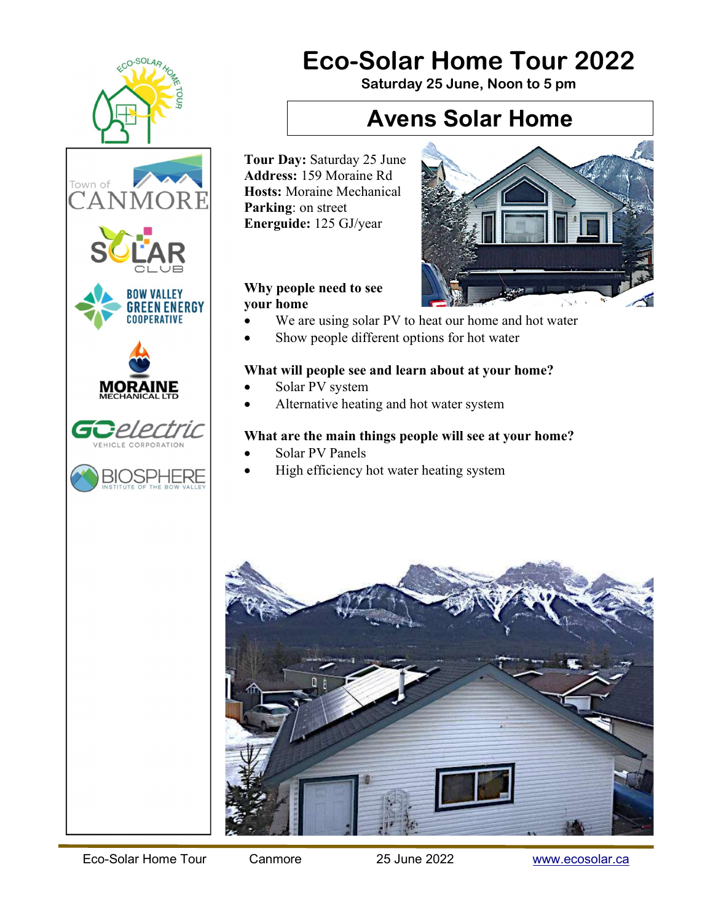

# Eco-Solar Home Tour 2022

Saturday 25 June, Noon to 5 pm

### Avens Solar Home

Tour Day: Saturday 25 June Address: 159 Moraine Rd Hosts: Moraine Mechanical Parking: on street Energuide: 125 GJ/year

### Why people need to see your home

- We are using solar PV to heat our home and hot water
- Show people different options for hot water

### What will people see and learn about at your home?

- Solar PV system
- Alternative heating and hot water system

### What are the main things people will see at your home?

- Solar PV Panels
- High efficiency hot water heating system